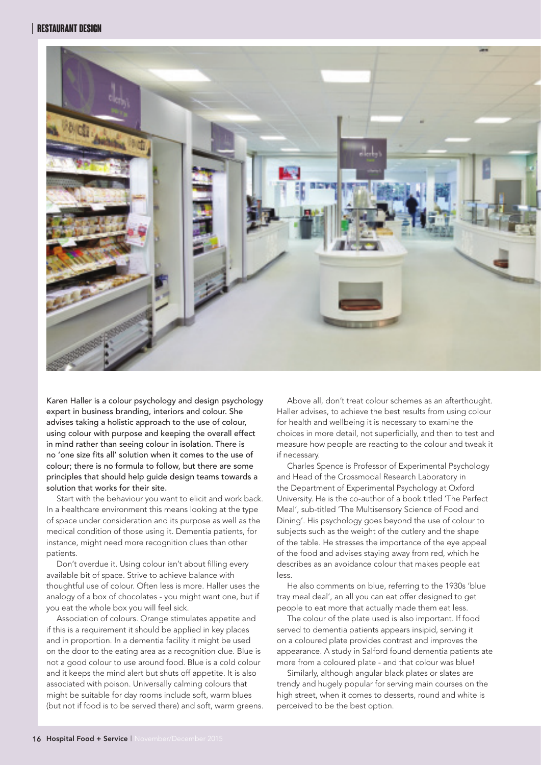## **Restaurant design**



Karen Haller is a colour psychology and design psychology expert in business branding, interiors and colour. She advises taking a holistic approach to the use of colour, using colour with purpose and keeping the overall effect in mind rather than seeing colour in isolation. There is no 'one size fits all' solution when it comes to the use of colour; there is no formula to follow, but there are some principles that should help guide design teams towards a solution that works for their site.

Start with the behaviour you want to elicit and work back. In a healthcare environment this means looking at the type of space under consideration and its purpose as well as the medical condition of those using it. Dementia patients, for instance, might need more recognition clues than other patients.

Don't overdue it. Using colour isn't about filling every available bit of space. Strive to achieve balance with thoughtful use of colour. Often less is more. Haller uses the analogy of a box of chocolates - you might want one, but if you eat the whole box you will feel sick.

Association of colours. Orange stimulates appetite and if this is a requirement it should be applied in key places and in proportion. In a dementia facility it might be used on the door to the eating area as a recognition clue. Blue is not a good colour to use around food. Blue is a cold colour and it keeps the mind alert but shuts off appetite. It is also associated with poison. Universally calming colours that might be suitable for day rooms include soft, warm blues (but not if food is to be served there) and soft, warm greens.

Above all, don't treat colour schemes as an afterthought. Haller advises, to achieve the best results from using colour for health and wellbeing it is necessary to examine the choices in more detail, not superficially, and then to test and measure how people are reacting to the colour and tweak it if necessary.

Charles Spence is Professor of Experimental Psychology and Head of the Crossmodal Research Laboratory in the Department of Experimental Psychology at Oxford University. He is the co-author of a book titled 'The Perfect Meal', sub-titled 'The Multisensory Science of Food and Dining'. His psychology goes beyond the use of colour to subjects such as the weight of the cutlery and the shape of the table. He stresses the importance of the eye appeal of the food and advises staying away from red, which he describes as an avoidance colour that makes people eat less

He also comments on blue, referring to the 1930s 'blue tray meal deal', an all you can eat offer designed to get people to eat more that actually made them eat less.

The colour of the plate used is also important. If food served to dementia patients appears insipid, serving it on a coloured plate provides contrast and improves the appearance. A study in Salford found dementia patients ate more from a coloured plate - and that colour was blue!

Similarly, although angular black plates or slates are trendy and hugely popular for serving main courses on the high street, when it comes to desserts, round and white is perceived to be the best option.